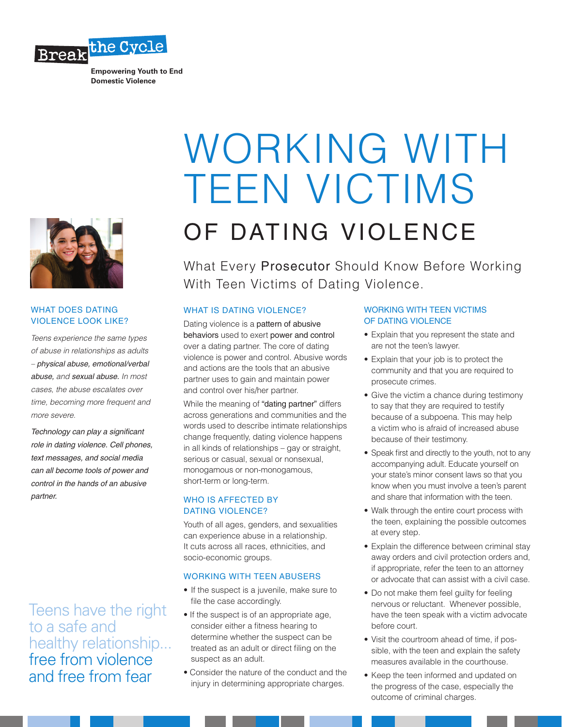

**Empowering Youth to End Domestic Violence**



### WHAT DOES DATING VIOLENCE LOOK LIKE?

*Teens experience the same types of abuse in relationships as adults – physical abuse, emotional/verbal abuse, and sexual abuse. In most cases, the abuse escalates over time, becoming more frequent and more severe.*

*Technology can play a significant role in dating violence. Cell phones, text messages, and social media can all become tools of power and control in the hands of an abusive partner.*

Teens have the right to a safe and healthy relationship... free from violence and free from fear

# WORKING WITH TEEN VICTIMS OF DATING VIOLENCE

What Every Prosecutor Should Know Before Working With Teen Victims of Dating Violence.

# WHAT IS DATING VIOLENCE?

Dating violence is a pattern of abusive behaviors used to exert power and control over a dating partner. The core of dating violence is power and control. Abusive words and actions are the tools that an abusive partner uses to gain and maintain power and control over his/her partner.

While the meaning of "dating partner" differs across generations and communities and the words used to describe intimate relationships change frequently, dating violence happens in all kinds of relationships – gay or straight, serious or casual, sexual or nonsexual, monogamous or non-monogamous, short-term or long-term.

# WHO IS AFFECTED BY DATING VIOLENCE?

Youth of all ages, genders, and sexualities can experience abuse in a relationship. It cuts across all races, ethnicities, and socio-economic groups.

# WORKING WITH TEEN ABUSERS

- If the suspect is a juvenile, make sure to file the case accordingly.
- If the suspect is of an appropriate age, consider either a fitness hearing to determine whether the suspect can be treated as an adult or direct filing on the suspect as an adult.
- Consider the nature of the conduct and the injury in determining appropriate charges.

# WORKING WITH TEEN VICTIMS OF DATING VIOLENCE

- Explain that you represent the state and are not the teen's lawyer.
- Explain that your job is to protect the community and that you are required to prosecute crimes.
- Give the victim a chance during testimony to say that they are required to testify because of a subpoena. This may help a victim who is afraid of increased abuse because of their testimony.
- Speak first and directly to the youth, not to any accompanying adult. Educate yourself on your state's minor consent laws so that you know when you must involve a teen's parent and share that information with the teen.
- Walk through the entire court process with the teen, explaining the possible outcomes at every step.
- Explain the difference between criminal stay away orders and civil protection orders and, if appropriate, refer the teen to an attorney or advocate that can assist with a civil case.
- Do not make them feel guilty for feeling nervous or reluctant. Whenever possible, have the teen speak with a victim advocate before court.
- Visit the courtroom ahead of time, if possible, with the teen and explain the safety measures available in the courthouse.
- Keep the teen informed and updated on the progress of the case, especially the outcome of criminal charges.